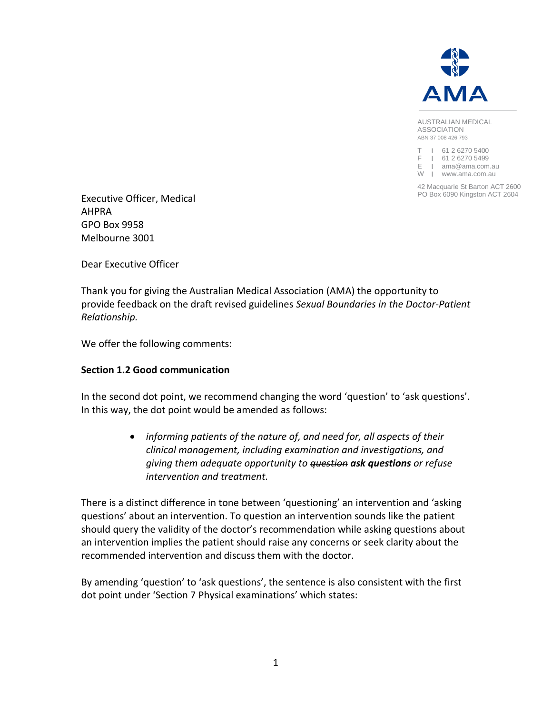

AUSTRALIAN MEDICAL ASSOCIATION ABN 37 008 426 793

T I 61 2 6270 5400 F I 61 2 6270 5499 E I ama@ama.com.au W | www.ama.com.au

42 Macquarie St Barton ACT 2600

**Executive Officer, Medical** Mateurs of the Contract Actual Actual PO Box 6090 Kingston ACT 2604 AHPRA GPO Box 9958 Melbourne 3001

Dear Executive Officer

Thank you for giving the Australian Medical Association (AMA) the opportunity to provide feedback on the draft revised guidelines *Sexual Boundaries in the Doctor-Patient Relationship.* 

We offer the following comments:

## **Section 1.2 Good communication**

In the second dot point, we recommend changing the word 'question' to 'ask questions'. In this way, the dot point would be amended as follows:

> *informing patients of the nature of, and need for, all aspects of their clinical management, including examination and investigations, and giving them adequate opportunity to question ask questions or refuse intervention and treatment.*

There is a distinct difference in tone between 'questioning' an intervention and 'asking questions' about an intervention. To question an intervention sounds like the patient should query the validity of the doctor's recommendation while asking questions about an intervention implies the patient should raise any concerns or seek clarity about the recommended intervention and discuss them with the doctor.

By amending 'question' to 'ask questions', the sentence is also consistent with the first dot point under 'Section 7 Physical examinations' which states: